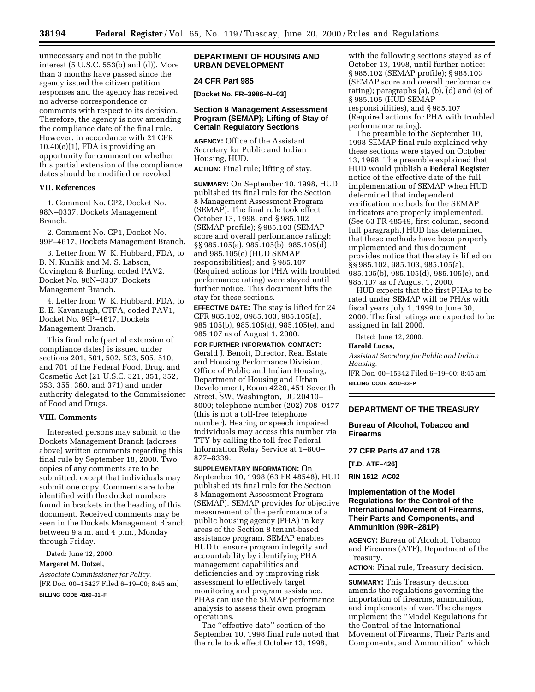unnecessary and not in the public interest (5 U.S.C. 553(b) and (d)). More than 3 months have passed since the agency issued the citizen petition responses and the agency has received no adverse correspondence or comments with respect to its decision. Therefore, the agency is now amending the compliance date of the final rule. However, in accordance with 21 CFR 10.40(e)(1), FDA is providing an opportunity for comment on whether this partial extension of the compliance dates should be modified or revoked.

## **VII. References**

1. Comment No. CP2, Docket No. 98N–0337, Dockets Management Branch.

2. Comment No. CP1, Docket No. 99P–4617, Dockets Management Branch.

3. Letter from W. K. Hubbard, FDA, to B. N. Kuhlik and M. S. Labson, Covington & Burling, coded PAV2, Docket No. 98N–0337, Dockets Management Branch.

4. Letter from W. K. Hubbard, FDA, to E. E. Kavanaugh, CTFA, coded PAV1, Docket No. 99P–4617, Dockets Management Branch.

This final rule (partial extension of compliance dates) is issued under sections 201, 501, 502, 503, 505, 510, and 701 of the Federal Food, Drug, and Cosmetic Act (21 U.S.C. 321, 351, 352, 353, 355, 360, and 371) and under authority delegated to the Commissioner of Food and Drugs.

## **VIII. Comments**

Interested persons may submit to the Dockets Management Branch (address above) written comments regarding this final rule by September 18, 2000. Two copies of any comments are to be submitted, except that individuals may submit one copy. Comments are to be identified with the docket numbers found in brackets in the heading of this document. Received comments may be seen in the Dockets Management Branch between 9 a.m. and 4 p.m., Monday through Friday.

Dated: June 12, 2000.

### **Margaret M. Dotzel,**

*Associate Commissioner for Policy.* [FR Doc. 00–15427 Filed 6–19–00; 8:45 am] **BILLING CODE 4160–01–F**

# **DEPARTMENT OF HOUSING AND URBAN DEVELOPMENT**

## **24 CFR Part 985**

**[Docket No. FR–3986–N–03]**

## **Section 8 Management Assessment Program (SEMAP); Lifting of Stay of Certain Regulatory Sections**

**AGENCY:** Office of the Assistant Secretary for Public and Indian Housing, HUD.

**ACTION:** Final rule; lifting of stay.

**SUMMARY:** On September 10, 1998, HUD published its final rule for the Section 8 Management Assessment Program (SEMAP). The final rule took effect October 13, 1998, and § 985.102 (SEMAP profile); § 985.103 (SEMAP score and overall performance rating); §§ 985.105(a), 985.105(b), 985.105(d) and 985.105(e) (HUD SEMAP responsibilities); and § 985.107 (Required actions for PHA with troubled performance rating) were stayed until further notice. This document lifts the stay for these sections.

**EFFECTIVE DATE:** The stay is lifted for 24 CFR 985.102, 0985.103, 985.105(a), 985.105(b), 985.105(d), 985.105(e), and 985.107 as of August 1, 2000.

**FOR FURTHER INFORMATION CONTACT:** Gerald J. Benoit, Director, Real Estate and Housing Performance Division, Office of Public and Indian Housing, Department of Housing and Urban Development, Room 4220, 451 Seventh Street, SW, Washington, DC 20410– 8000; telephone number (202) 708–0477 (this is not a toll-free telephone number). Hearing or speech impaired individuals may access this number via TTY by calling the toll-free Federal Information Relay Service at 1–800– 877–8339.

**SUPPLEMENTARY INFORMATION:** On September 10, 1998 (63 FR 48548), HUD published its final rule for the Section 8 Management Assessment Program (SEMAP). SEMAP provides for objective measurement of the performance of a public housing agency (PHA) in key areas of the Section 8 tenant-based assistance program. SEMAP enables HUD to ensure program integrity and accountability by identifying PHA management capabilities and deficiencies and by improving risk assessment to effectively target monitoring and program assistance. PHAs can use the SEMAP performance analysis to assess their own program operations.

The "effective date" section of the September 10, 1998 final rule noted that the rule took effect October 13, 1998,

with the following sections stayed as of October 13, 1998, until further notice: § 985.102 (SEMAP profile); § 985.103 (SEMAP score and overall performance rating); paragraphs (a), (b), (d) and (e) of § 985.105 (HUD SEMAP responsibilities), and § 985.107 (Required actions for PHA with troubled performance rating).

The preamble to the September 10, 1998 SEMAP final rule explained why these sections were stayed on October 13, 1998. The preamble explained that HUD would publish a **Federal Register** notice of the effective date of the full implementation of SEMAP when HUD determined that independent verification methods for the SEMAP indicators are properly implemented. (See 63 FR 48549, first column, second full paragraph.) HUD has determined that these methods have been properly implemented and this document provides notice that the stay is lifted on §§ 985.102, 985.103, 985.105(a), 985.105(b), 985.105(d), 985.105(e), and 985.107 as of August 1, 2000.

HUD expects that the first PHAs to be rated under SEMAP will be PHAs with fiscal years July 1, 1999 to June 30, 2000. The first ratings are expected to be assigned in fall 2000.

Dated: June 12, 2000.

# **Harold Lucas,**

*Assistant Secretary for Public and Indian Housing.* [FR Doc. 00–15342 Filed 6–19–00; 8:45 am] **BILLING CODE 4210–33–P**

# **DEPARTMENT OF THE TREASURY**

**Bureau of Alcohol, Tobacco and Firearms**

**27 CFR Parts 47 and 178**

**[T.D. ATF–426]**

**RIN 1512–AC02**

## **Implementation of the Model Regulations for the Control of the International Movement of Firearms, Their Parts and Components, and Ammunition (99R–281P)**

**AGENCY:** Bureau of Alcohol, Tobacco and Firearms (ATF), Department of the Treasury.

**ACTION:** Final rule, Treasury decision.

**SUMMARY:** This Treasury decision amends the regulations governing the importation of firearms, ammunition, and implements of war. The changes implement the ''Model Regulations for the Control of the International Movement of Firearms, Their Parts and Components, and Ammunition'' which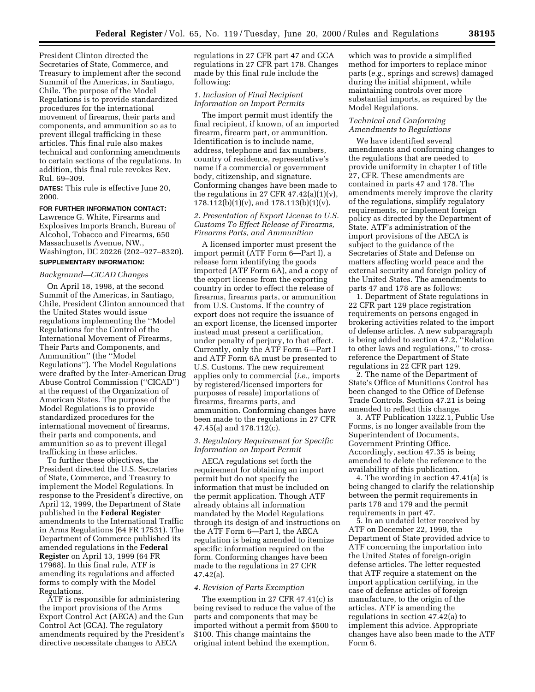President Clinton directed the Secretaries of State, Commerce, and Treasury to implement after the second Summit of the Americas, in Santiago, Chile. The purpose of the Model Regulations is to provide standardized procedures for the international movement of firearms, their parts and components, and ammunition so as to prevent illegal trafficking in these articles. This final rule also makes technical and conforming amendments to certain sections of the regulations. In addition, this final rule revokes Rev. Rul. 69–309.

**DATES:** This rule is effective June 20, 2000.

## **FOR FURTHER INFORMATION CONTACT:**

Lawrence G. White, Firearms and Explosives Imports Branch, Bureau of Alcohol, Tobacco and Firearms, 650 Massachusetts Avenue, NW., Washington, DC 20226 (202–927–8320). **SUPPLEMENTARY INFORMATION:**

## *Background—CICAD Changes*

On April 18, 1998, at the second Summit of the Americas, in Santiago, Chile, President Clinton announced that the United States would issue regulations implementing the ''Model Regulations for the Control of the International Movement of Firearms, Their Parts and Components, and Ammunition'' (the ''Model Regulations''). The Model Regulations were drafted by the Inter-American Drug Abuse Control Commission (''CICAD'') at the request of the Organization of American States. The purpose of the Model Regulations is to provide standardized procedures for the international movement of firearms, their parts and components, and ammunition so as to prevent illegal trafficking in these articles.

To further these objectives, the President directed the U.S. Secretaries of State, Commerce, and Treasury to implement the Model Regulations. In response to the President's directive, on April 12, 1999, the Department of State published in the **Federal Register** amendments to the International Traffic in Arms Regulations (64 FR 17531). The Department of Commerce published its amended regulations in the **Federal Register** on April 13, 1999 (64 FR 17968). In this final rule, ATF is amending its regulations and affected forms to comply with the Model Regulations.

ATF is responsible for administering the import provisions of the Arms Export Control Act (AECA) and the Gun Control Act (GCA). The regulatory amendments required by the President's directive necessitate changes to AECA

regulations in 27 CFR part 47 and GCA regulations in 27 CFR part 178. Changes made by this final rule include the following:

# *1. Inclusion of Final Recipient Information on Import Permits*

The import permit must identify the final recipient, if known, of an imported firearm, firearm part, or ammunition. Identification is to include name, address, telephone and fax numbers, country of residence, representative's name if a commercial or government body, citizenship, and signature. Conforming changes have been made to the regulations in 27 CFR  $47.42(a)(1)(v)$ , 178.112(b)(1)(v), and 178.113(b)(1)(v).

# *2. Presentation of Export License to U.S. Customs To Effect Release of Firearms, Firearms Parts, and Ammunition*

A licensed importer must present the import permit (ATF Form 6—Part I), a release form identifying the goods imported (ATF Form 6A), and a copy of the export license from the exporting country in order to effect the release of firearms, firearms parts, or ammunition from U.S. Customs. If the country of export does not require the issuance of an export license, the licensed importer instead must present a certification, under penalty of perjury, to that effect. Currently, only the ATF Form 6—Part I and ATF Form 6A must be presented to U.S. Customs. The new requirement applies only to commercial (*i.e.,* imports by registered/licensed importers for purposes of resale) importations of firearms, firearms parts, and ammunition. Conforming changes have been made to the regulations in 27 CFR 47.45(a) and 178.112(c).

## *3. Regulatory Requirement for Specific Information on Import Permit*

AECA regulations set forth the requirement for obtaining an import permit but do not specify the information that must be included on the permit application. Though ATF already obtains all information mandated by the Model Regulations through its design of and instructions on the ATF Form 6—Part I, the AECA regulation is being amended to itemize specific information required on the form. Conforming changes have been made to the regulations in 27 CFR 47.42(a).

#### *4. Revision of Parts Exemption*

The exemption in 27 CFR 47.41(c) is being revised to reduce the value of the parts and components that may be imported without a permit from \$500 to \$100. This change maintains the original intent behind the exemption,

which was to provide a simplified method for importers to replace minor parts (*e.g.,* springs and screws) damaged during the initial shipment, while maintaining controls over more substantial imports, as required by the Model Regulations.

## *Technical and Conforming Amendments to Regulations*

We have identified several amendments and conforming changes to the regulations that are needed to provide uniformity in chapter I of title 27, CFR. These amendments are contained in parts 47 and 178. The amendments merely improve the clarity of the regulations, simplify regulatory requirements, or implement foreign policy as directed by the Department of State. ATF's administration of the import provisions of the AECA is subject to the guidance of the Secretaries of State and Defense on matters affecting world peace and the external security and foreign policy of the United States. The amendments to parts 47 and 178 are as follows:

1. Department of State regulations in 22 CFR part 129 place registration requirements on persons engaged in brokering activities related to the import of defense articles. A new subparagraph is being added to section 47.2, ''Relation to other laws and regulations,'' to crossreference the Department of State regulations in 22 CFR part 129.

2. The name of the Department of State's Office of Munitions Control has been changed to the Office of Defense Trade Controls. Section 47.21 is being amended to reflect this change.

3. ATF Publication 1322.1, Public Use Forms, is no longer available from the Superintendent of Documents, Government Printing Office. Accordingly, section 47.35 is being amended to delete the reference to the availability of this publication.

4. The wording in section 47.41(a) is being changed to clarify the relationship between the permit requirements in parts 178 and 179 and the permit requirements in part 47.

5. In an undated letter received by ATF on December 22, 1999, the Department of State provided advice to ATF concerning the importation into the United States of foreign-origin defense articles. The letter requested that ATF require a statement on the import application certifying, in the case of defense articles of foreign manufacture, to the origin of the articles. ATF is amending the regulations in section 47.42(a) to implement this advice. Appropriate changes have also been made to the ATF Form 6.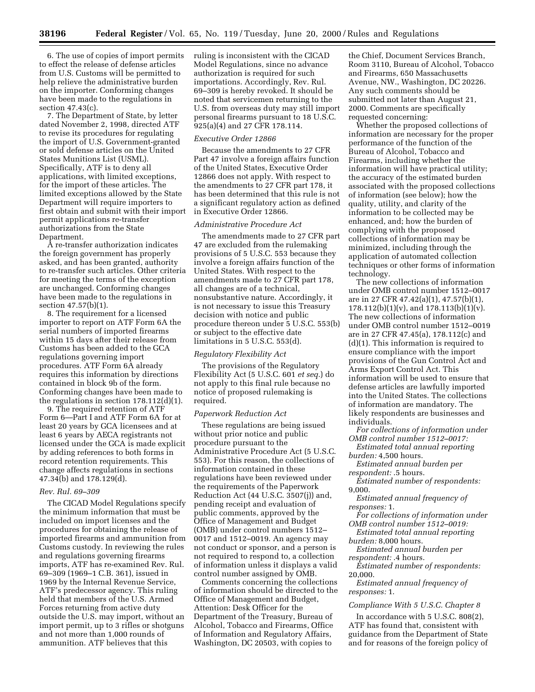6. The use of copies of import permits to effect the release of defense articles from U.S. Customs will be permitted to help relieve the administrative burden on the importer. Conforming changes have been made to the regulations in section 47.43(c).

7. The Department of State, by letter dated November 2, 1998, directed ATF to revise its procedures for regulating the import of U.S. Government-granted or sold defense articles on the United States Munitions List (USML). Specifically, ATF is to deny all applications, with limited exceptions, for the import of these articles. The limited exceptions allowed by the State Department will require importers to first obtain and submit with their import permit applications re-transfer authorizations from the State Department.

A re-transfer authorization indicates the foreign government has properly asked, and has been granted, authority to re-transfer such articles. Other criteria for meeting the terms of the exception are unchanged. Conforming changes have been made to the regulations in section 47.57(b)(1).

8. The requirement for a licensed importer to report on ATF Form 6A the serial numbers of imported firearms within 15 days after their release from Customs has been added to the GCA regulations governing import procedures. ATF Form 6A already requires this information by directions contained in block 9b of the form. Conforming changes have been made to the regulations in section 178.112(d)(1).

9. The required retention of ATF Form 6—Part I and ATF Form 6A for at least 20 years by GCA licensees and at least 6 years by AECA registrants not licensed under the GCA is made explicit by adding references to both forms in record retention requirements. This change affects regulations in sections 47.34(b) and 178.129(d).

### *Rev. Rul. 69–309*

The CICAD Model Regulations specify the minimum information that must be included on import licenses and the procedures for obtaining the release of imported firearms and ammunition from Customs custody. In reviewing the rules and regulations governing firearms imports, ATF has re-examined Rev. Rul. 69–309 (1969–1 C.B. 361), issued in 1969 by the Internal Revenue Service, ATF's predecessor agency. This ruling held that members of the U.S. Armed Forces returning from active duty outside the U.S. may import, without an import permit, up to 3 rifles or shotguns and not more than 1,000 rounds of ammunition. ATF believes that this

ruling is inconsistent with the CICAD Model Regulations, since no advance authorization is required for such importations. Accordingly, Rev. Rul. 69–309 is hereby revoked. It should be noted that servicemen returning to the U.S. from overseas duty may still import personal firearms pursuant to 18 U.S.C. 925(a)(4) and 27 CFR 178.114.

## *Executive Order 12866*

Because the amendments to 27 CFR Part 47 involve a foreign affairs function of the United States, Executive Order 12866 does not apply. With respect to the amendments to 27 CFR part 178, it has been determined that this rule is not a significant regulatory action as defined in Executive Order 12866.

# *Administrative Procedure Act*

The amendments made to 27 CFR part 47 are excluded from the rulemaking provisions of 5 U.S.C. 553 because they involve a foreign affairs function of the United States. With respect to the amendments made to 27 CFR part 178, all changes are of a technical, nonsubstantive nature. Accordingly, it is not necessary to issue this Treasury decision with notice and public procedure thereon under 5 U.S.C. 553(b) or subject to the effective date limitations in 5 U.S.C. 553(d).

## *Regulatory Flexibility Act*

The provisions of the Regulatory Flexibility Act (5 U.S.C. 601 *et seq.*) do not apply to this final rule because no notice of proposed rulemaking is required.

### *Paperwork Reduction Act*

These regulations are being issued without prior notice and public procedure pursuant to the Administrative Procedure Act (5 U.S.C. 553). For this reason, the collections of information contained in these regulations have been reviewed under the requirements of the Paperwork Reduction Act (44 U.S.C. 3507(j)) and, pending receipt and evaluation of public comments, approved by the Office of Management and Budget (OMB) under control numbers 1512– 0017 and 1512–0019. An agency may not conduct or sponsor, and a person is not required to respond to, a collection of information unless it displays a valid control number assigned by OMB.

Comments concerning the collections of information should be directed to the Office of Management and Budget, Attention: Desk Officer for the Department of the Treasury, Bureau of Alcohol, Tobacco and Firearms, Office of Information and Regulatory Affairs, Washington, DC 20503, with copies to

the Chief, Document Services Branch, Room 3110, Bureau of Alcohol, Tobacco and Firearms, 650 Massachusetts Avenue, NW., Washington, DC 20226. Any such comments should be submitted not later than August 21, 2000. Comments are specifically requested concerning:

Whether the proposed collections of information are necessary for the proper performance of the function of the Bureau of Alcohol, Tobacco and Firearms, including whether the information will have practical utility; the accuracy of the estimated burden associated with the proposed collections of information (see below); how the quality, utility, and clarity of the information to be collected may be enhanced, and; how the burden of complying with the proposed collections of information may be minimized, including through the application of automated collection techniques or other forms of information technology.

The new collections of information under OMB control number 1512–0017 are in 27 CFR 47.42(a)(1), 47.57(b)(1),  $178.112(b)(1)(v)$ , and  $178.113(b)(1)(v)$ . The new collections of information under OMB control number 1512–0019 are in 27 CFR 47.45(a), 178.112(c) and (d)(1). This information is required to ensure compliance with the import provisions of the Gun Control Act and Arms Export Control Act. This information will be used to ensure that defense articles are lawfully imported into the United States. The collections of information are mandatory. The likely respondents are businesses and individuals.

*For collections of information under OMB control number 1512–0017:*

*Estimated total annual reporting burden:* 4,500 hours.

*Estimated annual burden per respondent:* .5 hours.

*Estimated number of respondents:* 9,000.

*Estimated annual frequency of responses:* 1.

*For collections of information under OMB control number 1512–0019:*

*Estimated total annual reporting burden:* 8,000 hours.

*Estimated annual burden per respondent:* .4 hours.

*Estimated number of respondents:* 20,000.

*Estimated annual frequency of responses:* 1.

# *Compliance With 5 U.S.C. Chapter 8*

In accordance with 5 U.S.C. 808(2), ATF has found that, consistent with guidance from the Department of State and for reasons of the foreign policy of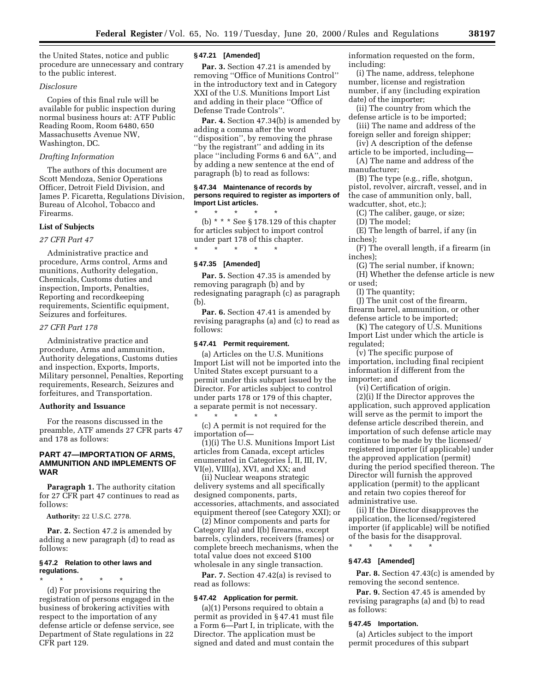the United States, notice and public procedure are unnecessary and contrary to the public interest.

#### *Disclosure*

Copies of this final rule will be available for public inspection during normal business hours at: ATF Public Reading Room, Room 6480, 650 Massachusetts Avenue NW, Washington, DC.

## *Drafting Information*

The authors of this document are Scott Mendoza, Senior Operations Officer, Detroit Field Division, and James P. Ficaretta, Regulations Division, Bureau of Alcohol, Tobacco and Firearms.

## **List of Subjects**

### *27 CFR Part 47*

Administrative practice and procedure, Arms control, Arms and munitions, Authority delegation, Chemicals, Customs duties and inspection, Imports, Penalties, Reporting and recordkeeping requirements, Scientific equipment, Seizures and forfeitures.

## *27 CFR Part 178*

Administrative practice and procedure, Arms and ammunition, Authority delegations, Customs duties and inspection, Exports, Imports, Military personnel, Penalties, Reporting requirements, Research, Seizures and forfeitures, and Transportation.

## **Authority and Issuance**

For the reasons discussed in the preamble, ATF amends 27 CFR parts 47 and 178 as follows:

# **PART 47—IMPORTATION OF ARMS, AMMUNITION AND IMPLEMENTS OF WAR**

**Paragraph 1.** The authority citation for 27 CFR part 47 continues to read as follows:

**Authority:** 22 U.S.C. 2778.

Par. 2. Section 47.2 is amended by adding a new paragraph (d) to read as follows:

## **§ 47.2 Relation to other laws and regulations.**

\* \* \* \* \* (d) For provisions requiring the registration of persons engaged in the business of brokering activities with respect to the importation of any defense article or defense service, see Department of State regulations in 22 CFR part 129.

#### **§ 47.21 [Amended]**

Par. 3. Section 47.21 is amended by removing ''Office of Munitions Control'' in the introductory text and in Category XXI of the U.S. Munitions Import List and adding in their place ''Office of Defense Trade Controls''.

**Par. 4.** Section 47.34(b) is amended by adding a comma after the word ''disposition'', by removing the phrase ''by the registrant'' and adding in its place ''including Forms 6 and 6A'', and by adding a new sentence at the end of paragraph (b) to read as follows:

### **§ 47.34 Maintenance of records by persons required to register as importers of Import List articles.**

\* \* \* \* \* (b) \* \* \* See § 178.129 of this chapter for articles subject to import control under part 178 of this chapter.

#### **§ 47.35 [Amended]**

\* \* \* \* \*

**Par. 5.** Section 47.35 is amended by removing paragraph (b) and by redesignating paragraph (c) as paragraph (b).

Par. 6. Section 47.41 is amended by revising paragraphs (a) and (c) to read as follows:

## **§ 47.41 Permit requirement.**

(a) Articles on the U.S. Munitions Import List will not be imported into the United States except pursuant to a permit under this subpart issued by the Director. For articles subject to control under parts 178 or 179 of this chapter, a separate permit is not necessary.

\* \* \* \* \* (c) A permit is not required for the importation of—

(1)(i) The U.S. Munitions Import List articles from Canada, except articles enumerated in Categories I, II, III, IV, VI(e), VIII(a), XVI, and XX; and

(ii) Nuclear weapons strategic delivery systems and all specifically designed components, parts, accessories, attachments, and associated equipment thereof (see Category XXI); or

(2) Minor components and parts for Category I(a) and I(b) firearms, except barrels, cylinders, receivers (frames) or complete breech mechanisms, when the total value does not exceed \$100 wholesale in any single transaction.

Par. 7. Section 47.42(a) is revised to read as follows:

#### **§ 47.42 Application for permit.**

(a)(1) Persons required to obtain a permit as provided in § 47.41 must file a Form 6—Part I, in triplicate, with the Director. The application must be signed and dated and must contain the information requested on the form, including:

(i) The name, address, telephone number, license and registration number, if any (including expiration date) of the importer;

(ii) The country from which the defense article is to be imported;

(iii) The name and address of the foreign seller and foreign shipper;

(iv) A description of the defense article to be imported, including—

(A) The name and address of the manufacturer;

(B) The type (e.g., rifle, shotgun, pistol, revolver, aircraft, vessel, and in the case of ammunition only, ball, wadcutter, shot, etc.);

(C) The caliber, gauge, or size;

(D) The model;

(E) The length of barrel, if any (in inches);

(F) The overall length, if a firearm (in inches);

(G) The serial number, if known; (H) Whether the defense article is new or used;

(I) The quantity;

(J) The unit cost of the firearm, firearm barrel, ammunition, or other defense article to be imported;

(K) The category of U.S. Munitions Import List under which the article is regulated;

(v) The specific purpose of importation, including final recipient information if different from the importer; and

(vi) Certification of origin.

(2)(i) If the Director approves the application, such approved application will serve as the permit to import the defense article described therein, and importation of such defense article may continue to be made by the licensed/ registered importer (if applicable) under the approved application (permit) during the period specified thereon. The Director will furnish the approved application (permit) to the applicant and retain two copies thereof for administrative use.

(ii) If the Director disapproves the application, the licensed/registered importer (if applicable) will be notified of the basis for the disapproval.

\* \* \* \* \*

# **§ 47.43 [Amended]**

**Par. 8.** Section 47.43(c) is amended by removing the second sentence.

Par. 9. Section 47.45 is amended by revising paragraphs (a) and (b) to read as follows:

### **§ 47.45 Importation.**

(a) Articles subject to the import permit procedures of this subpart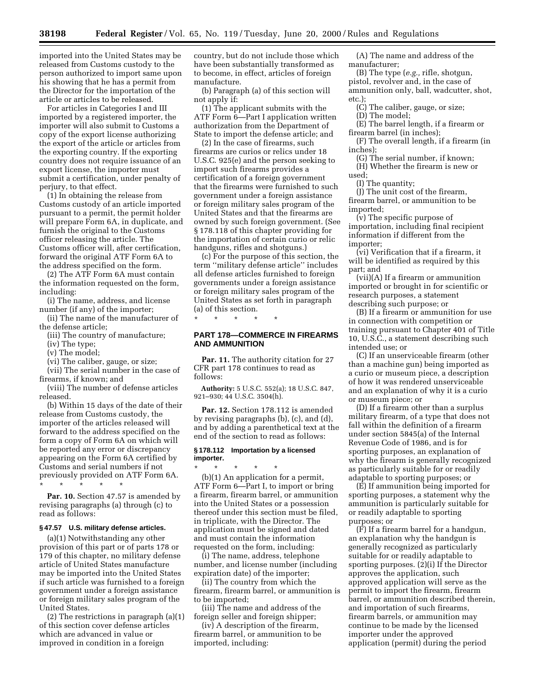imported into the United States may be released from Customs custody to the person authorized to import same upon his showing that he has a permit from the Director for the importation of the article or articles to be released.

For articles in Categories I and III imported by a registered importer, the importer will also submit to Customs a copy of the export license authorizing the export of the article or articles from the exporting country. If the exporting country does not require issuance of an export license, the importer must submit a certification, under penalty of perjury, to that effect.

(1) In obtaining the release from Customs custody of an article imported pursuant to a permit, the permit holder will prepare Form 6A, in duplicate, and furnish the original to the Customs officer releasing the article. The Customs officer will, after certification, forward the original ATF Form 6A to the address specified on the form.

(2) The ATF Form 6A must contain the information requested on the form, including:

(i) The name, address, and license number (if any) of the importer;

(ii) The name of the manufacturer of the defense article;

(iii) The country of manufacture;

(iv) The type;

(v) The model;

(vi) The caliber, gauge, or size;

(vii) The serial number in the case of

firearms, if known; and (viii) The number of defense articles released.

(b) Within 15 days of the date of their release from Customs custody, the importer of the articles released will forward to the address specified on the form a copy of Form 6A on which will be reported any error or discrepancy appearing on the Form 6A certified by Customs and serial numbers if not previously provided on ATF Form 6A. \* \* \* \* \*

Par. 10. Section 47.57 is amended by revising paragraphs (a) through (c) to read as follows:

## **§ 47.57 U.S. military defense articles.**

(a)(1) Notwithstanding any other provision of this part or of parts 178 or 179 of this chapter, no military defense article of United States manufacture may be imported into the United States if such article was furnished to a foreign government under a foreign assistance or foreign military sales program of the United States.

(2) The restrictions in paragraph (a)(1) of this section cover defense articles which are advanced in value or improved in condition in a foreign

country, but do not include those which have been substantially transformed as to become, in effect, articles of foreign manufacture.

(b) Paragraph (a) of this section will not apply if:

(1) The applicant submits with the ATF Form 6—Part I application written authorization from the Department of State to import the defense article; and

(2) In the case of firearms, such firearms are curios or relics under 18 U.S.C. 925(e) and the person seeking to import such firearms provides a certification of a foreign government that the firearms were furnished to such government under a foreign assistance or foreign military sales program of the United States and that the firearms are owned by such foreign government. (See § 178.118 of this chapter providing for the importation of certain curio or relic handguns, rifles and shotguns.)

(c) For the purpose of this section, the term ''military defense article'' includes all defense articles furnished to foreign governments under a foreign assistance or foreign military sales program of the United States as set forth in paragraph (a) of this section.

## **PART 178—COMMERCE IN FIREARMS AND AMMUNITION**

\* \* \* \* \*

**Par. 11.** The authority citation for 27 CFR part 178 continues to read as follows:

**Authority:** 5 U.S.C. 552(a); 18 U.S.C. 847, 921–930; 44 U.S.C. 3504(h).

**Par. 12.** Section 178.112 is amended by revising paragraphs (b), (c), and (d), and by adding a parenthetical text at the end of the section to read as follows:

## **§ 178.112 Importation by a licensed importer.**

\* \* \* \* \* (b)(1) An application for a permit, ATF Form 6—Part I, to import or bring a firearm, firearm barrel, or ammunition into the United States or a possession thereof under this section must be filed, in triplicate, with the Director. The application must be signed and dated and must contain the information requested on the form, including:

(i) The name, address, telephone number, and license number (including expiration date) of the importer;

(ii) The country from which the firearm, firearm barrel, or ammunition is to be imported;

(iii) The name and address of the foreign seller and foreign shipper;

(iv) A description of the firearm, firearm barrel, or ammunition to be imported, including:

(A) The name and address of the manufacturer;

(B) The type (*e.g.,* rifle, shotgun, pistol, revolver and, in the case of ammunition only, ball, wadcutter, shot, etc.);

(C) The caliber, gauge, or size;

(D) The model;

(E) The barrel length, if a firearm or firearm barrel (in inches);

(F) The overall length, if a firearm (in inches);

(G) The serial number, if known; (H) Whether the firearm is new or

used;

(I) The quantity;

(J) The unit cost of the firearm, firearm barrel, or ammunition to be imported;

(v) The specific purpose of importation, including final recipient information if different from the importer;

(vi) Verification that if a firearm, it will be identified as required by this part; and

(vii)(A) If a firearm or ammunition imported or brought in for scientific or research purposes, a statement describing such purpose; or

(B) If a firearm or ammunition for use in connection with competition or training pursuant to Chapter 401 of Title 10, U.S.C., a statement describing such intended use; or

(C) If an unserviceable firearm (other than a machine gun) being imported as a curio or museum piece, a description of how it was rendered unserviceable and an explanation of why it is a curio or museum piece; or

(D) If a firearm other than a surplus military firearm, of a type that does not fall within the definition of a firearm under section 5845(a) of the Internal Revenue Code of 1986, and is for sporting purposes, an explanation of why the firearm is generally recognized as particularly suitable for or readily adaptable to sporting purposes; or

(E) If ammunition being imported for sporting purposes, a statement why the ammunition is particularly suitable for or readily adaptable to sporting purposes; or

(F) If a firearm barrel for a handgun, an explanation why the handgun is generally recognized as particularly suitable for or readily adaptable to sporting purposes. (2)(i) If the Director approves the application, such approved application will serve as the permit to import the firearm, firearm barrel, or ammunition described therein, and importation of such firearms, firearm barrels, or ammunition may continue to be made by the licensed importer under the approved application (permit) during the period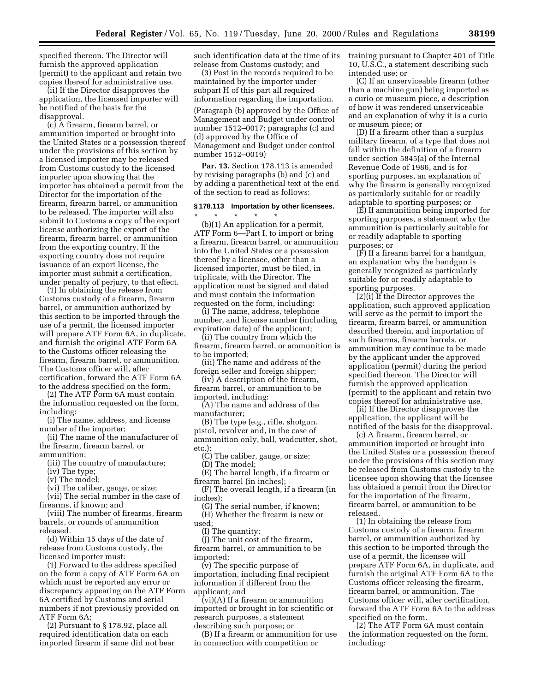specified thereon. The Director will furnish the approved application (permit) to the applicant and retain two copies thereof for administrative use.

(ii) If the Director disapproves the application, the licensed importer will be notified of the basis for the disapproval.

(c) A firearm, firearm barrel, or ammunition imported or brought into the United States or a possession thereof under the provisions of this section by a licensed importer may be released from Customs custody to the licensed importer upon showing that the importer has obtained a permit from the Director for the importation of the firearm, firearm barrel, or ammunition to be released. The importer will also submit to Customs a copy of the export license authorizing the export of the firearm, firearm barrel, or ammunition from the exporting country. If the exporting country does not require issuance of an export license, the importer must submit a certification, under penalty of perjury, to that effect.

(1) In obtaining the release from Customs custody of a firearm, firearm barrel, or ammunition authorized by this section to be imported through the use of a permit, the licensed importer will prepare ATF Form 6A, in duplicate, and furnish the original ATF Form 6A to the Customs officer releasing the firearm, firearm barrel, or ammunition. The Customs officer will, after certification, forward the ATF Form 6A to the address specified on the form.

(2) The ATF Form 6A must contain the information requested on the form, including:

(i) The name, address, and license number of the importer;

(ii) The name of the manufacturer of the firearm, firearm barrel, or ammunition;

(iii) The country of manufacture;

(iv) The type;

(v) The model;

(vi) The caliber, gauge, or size;

(vii) The serial number in the case of firearms, if known; and

(viii) The number of firearms, firearm barrels, or rounds of ammunition released.

(d) Within 15 days of the date of release from Customs custody, the licensed importer must:

(1) Forward to the address specified on the form a copy of ATF Form 6A on which must be reported any error or discrepancy appearing on the ATF Form 6A certified by Customs and serial numbers if not previously provided on ATF Form 6A;

(2) Pursuant to § 178.92, place all required identification data on each imported firearm if same did not bear such identification data at the time of its release from Customs custody; and

(3) Post in the records required to be maintained by the importer under subpart H of this part all required information regarding the importation.

(Paragraph (b) approved by the Office of Management and Budget under control number 1512–0017; paragraphs (c) and (d) approved by the Office of Management and Budget under control number 1512–0019)

**Par. 13.** Section 178.113 is amended by revising paragraphs (b) and (c) and by adding a parenthetical text at the end of the section to read as follows:

# **§ 178.113 Importation by other licensees.** \* \* \* \* \*

(b)(1) An application for a permit, ATF Form 6—Part I, to import or bring a firearm, firearm barrel, or ammunition into the United States or a possession thereof by a licensee, other than a licensed importer, must be filed, in triplicate, with the Director. The application must be signed and dated and must contain the information requested on the form, including:

(i) The name, address, telephone number, and license number (including expiration date) of the applicant;

(ii) The country from which the firearm, firearm barrel, or ammunition is to be imported;

(iii) The name and address of the foreign seller and foreign shipper;

(iv) A description of the firearm, firearm barrel, or ammunition to be imported, including:

(A) The name and address of the manufacturer;

(B) The type (e.g., rifle, shotgun, pistol, revolver and, in the case of ammunition only, ball, wadcutter, shot, etc.);

(C) The caliber, gauge, or size;

(D) The model;

(E) The barrel length, if a firearm or firearm barrel (in inches);

(F) The overall length, if a firearm (in inches);

(G) The serial number, if known; (H) Whether the firearm is new or

used;

(I) The quantity;

(J) The unit cost of the firearm, firearm barrel, or ammunition to be imported;

(v) The specific purpose of importation, including final recipient information if different from the applicant; and

(vi)(A) If a firearm or ammunition imported or brought in for scientific or research purposes, a statement describing such purpose; or

(B) If a firearm or ammunition for use in connection with competition or

training pursuant to Chapter 401 of Title 10, U.S.C., a statement describing such intended use; or

(C) If an unserviceable firearm (other than a machine gun) being imported as a curio or museum piece, a description of how it was rendered unserviceable and an explanation of why it is a curio or museum piece; or

(D) If a firearm other than a surplus military firearm, of a type that does not fall within the definition of a firearm under section 5845(a) of the Internal Revenue Code of 1986, and is for sporting purposes, an explanation of why the firearm is generally recognized as particularly suitable for or readily adaptable to sporting purposes; or

(E) If ammunition being imported for sporting purposes, a statement why the ammunition is particularly suitable for or readily adaptable to sporting purposes; or

(F) If a firearm barrel for a handgun, an explanation why the handgun is generally recognized as particularly suitable for or readily adaptable to sporting purposes.

(2)(i) If the Director approves the application, such approved application will serve as the permit to import the firearm, firearm barrel, or ammunition described therein, and importation of such firearms, firearm barrels, or ammunition may continue to be made by the applicant under the approved application (permit) during the period specified thereon. The Director will furnish the approved application (permit) to the applicant and retain two copies thereof for administrative use.

(ii) If the Director disapproves the application, the applicant will be notified of the basis for the disapproval.

(c) A firearm, firearm barrel, or ammunition imported or brought into the United States or a possession thereof under the provisions of this section may be released from Customs custody to the licensee upon showing that the licensee has obtained a permit from the Director for the importation of the firearm, firearm barrel, or ammunition to be released.

(1) In obtaining the release from Customs custody of a firearm, firearm barrel, or ammunition authorized by this section to be imported through the use of a permit, the licensee will prepare ATF Form 6A, in duplicate, and furnish the original ATF Form 6A to the Customs officer releasing the firearm, firearm barrel, or ammunition. The Customs officer will, after certification, forward the ATF Form 6A to the address specified on the form.

(2) The ATF Form 6A must contain the information requested on the form, including: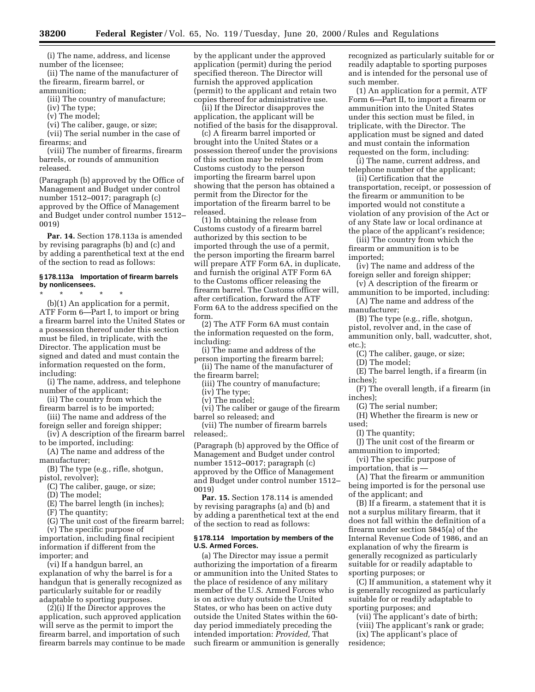(i) The name, address, and license number of the licensee;

(ii) The name of the manufacturer of the firearm, firearm barrel, or ammunition;

(iii) The country of manufacture;

(iv) The type;

(v) The model;

(vi) The caliber, gauge, or size;

(vii) The serial number in the case of firearms; and

(viii) The number of firearms, firearm barrels, or rounds of ammunition released.

(Paragraph (b) approved by the Office of Management and Budget under control number 1512–0017; paragraph (c) approved by the Office of Management and Budget under control number 1512– 0019)

**Par. 14.** Section 178.113a is amended by revising paragraphs (b) and (c) and by adding a parenthetical text at the end of the section to read as follows:

### **§ 178.113a Importation of firearm barrels by nonlicensees.**

\* \* \* \* \*

(b)(1) An application for a permit, ATF Form 6—Part I, to import or bring a firearm barrel into the United States or a possession thereof under this section must be filed, in triplicate, with the Director. The application must be signed and dated and must contain the information requested on the form, including:

(i) The name, address, and telephone number of the applicant;

- (ii) The country from which the firearm barrel is to be imported;
- (iii) The name and address of the foreign seller and foreign shipper;
- (iv) A description of the firearm barrel to be imported, including:

(A) The name and address of the manufacturer;

(B) The type (e.g., rifle, shotgun, pistol, revolver);

(C) The caliber, gauge, or size;

(D) The model;

(E) The barrel length (in inches);

(F) The quantity;

(G) The unit cost of the firearm barrel;

(v) The specific purpose of

importation, including final recipient information if different from the importer; and

(vi) If a handgun barrel, an explanation of why the barrel is for a handgun that is generally recognized as particularly suitable for or readily adaptable to sporting purposes.

(2)(i) If the Director approves the application, such approved application will serve as the permit to import the firearm barrel, and importation of such firearm barrels may continue to be made by the applicant under the approved application (permit) during the period specified thereon. The Director will furnish the approved application (permit) to the applicant and retain two copies thereof for administrative use.

(ii) If the Director disapproves the application, the applicant will be notified of the basis for the disapproval.

(c) A firearm barrel imported or brought into the United States or a possession thereof under the provisions of this section may be released from Customs custody to the person importing the firearm barrel upon showing that the person has obtained a permit from the Director for the importation of the firearm barrel to be released.

(1) In obtaining the release from Customs custody of a firearm barrel authorized by this section to be imported through the use of a permit, the person importing the firearm barrel will prepare ATF Form 6A, in duplicate, and furnish the original ATF Form 6A to the Customs officer releasing the firearm barrel. The Customs officer will, after certification, forward the ATF Form 6A to the address specified on the form.

(2) The ATF Form 6A must contain the information requested on the form, including:

(i) The name and address of the person importing the firearm barrel;

(ii) The name of the manufacturer of the firearm barrel;

(iii) The country of manufacture;

(iv) The type;

(v) The model;

(vi) The caliber or gauge of the firearm barrel so released; and

(vii) The number of firearm barrels released;.

(Paragraph (b) approved by the Office of Management and Budget under control number 1512–0017; paragraph (c) approved by the Office of Management and Budget under control number 1512– 0019)

**Par. 15.** Section 178.114 is amended by revising paragraphs (a) and (b) and by adding a parenthetical text at the end of the section to read as follows:

# **§ 178.114 Importation by members of the U.S. Armed Forces.**

(a) The Director may issue a permit authorizing the importation of a firearm or ammunition into the United States to the place of residence of any military member of the U.S. Armed Forces who is on active duty outside the United States, or who has been on active duty outside the United States within the 60 day period immediately preceding the intended importation: *Provided,* That such firearm or ammunition is generally recognized as particularly suitable for or readily adaptable to sporting purposes and is intended for the personal use of such member.

(1) An application for a permit, ATF Form 6—Part II, to import a firearm or ammunition into the United States under this section must be filed, in triplicate, with the Director. The application must be signed and dated and must contain the information requested on the form, including:

(i) The name, current address, and telephone number of the applicant;

(ii) Certification that the transportation, receipt, or possession of the firearm or ammunition to be imported would not constitute a violation of any provision of the Act or of any State law or local ordinance at the place of the applicant's residence;

(iii) The country from which the firearm or ammunition is to be imported;

(iv) The name and address of the foreign seller and foreign shipper;

(v) A description of the firearm or ammunition to be imported, including:

(A) The name and address of the manufacturer;

(B) The type (e.g., rifle, shotgun, pistol, revolver and, in the case of ammunition only, ball, wadcutter, shot, etc.);

(C) The caliber, gauge, or size;

(D) The model;

(E) The barrel length, if a firearm (in inches);

(F) The overall length, if a firearm (in inches);

(G) The serial number;

(H) Whether the firearm is new or used;

(I) The quantity;

(J) The unit cost of the firearm or ammunition to imported;

(vi) The specific purpose of importation, that is —

(A) That the firearm or ammunition being imported is for the personal use of the applicant; and

(B) If a firearm, a statement that it is not a surplus military firearm, that it does not fall within the definition of a firearm under section 5845(a) of the Internal Revenue Code of 1986, and an explanation of why the firearm is generally recognized as particularly suitable for or readily adaptable to sporting purposes; or

(C) If ammunition, a statement why it is generally recognized as particularly suitable for or readily adaptable to sporting purposes; and

(vii) The applicant's date of birth; (viii) The applicant's rank or grade;

(ix) The applicant's place of residence;